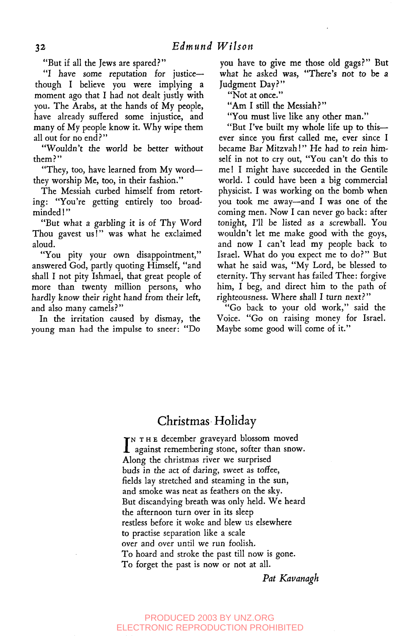"But if all the Jews are spared?"

"I have *some* reputation for justice- though I believe you were implying a moment ago that I had not dealt justly with you. The Arabs, at the hands of My people, have already suffered some injustice, and many of My peopIe know it. Why wipe them all out for no end?"

"Wouldn't the world be better without them?"

"They, too, have learned from My word-they worship Me, too, in their fashion."

The Messiah curbed himself from retorting: "You're getting entirely too broadminded !"

"But what a garbling it is of Thy Word Thou gavest us!" was what he exclaimed aloud.

"You pity your own disappointment," answered God, partly quoting Himself, "and shall I not pity Ishmael, that great people of more than twenty million persons, who hardly *know* their right hand from their left, and also many camels ?"

In the irritation caused by dismay, the young man had the impulse to sneer: "Do

you have to give me those old gags?" But what he asked was, "There's not to be a Judgment Day?"

"Not at once."

"Am Istill the Messiah?"

"You must live like any other man."

"But I've built my whole life up to this- ever since you first called me, ever since I became Bar Mitzvah!" He had to rein himself in not to cry out, "You can't do this to me! I might have succeeded in the Gentile world. I could have been a big commercial physicist. I was working on the bomb when you took me away--and I was one of the coming men. Now I can never go back: after tonight, I'll be listed as a screwball. You wouldn't let me make good with the goys, and now I can't lead my people back to Israel. What do you expect me to do?" But what he said was, "My Lord, be blessed to eternity. Thy servant has failed Thee: forgive him, I beg, and direct him to the path of righteousness. Where shall I turn next?"

"Go back to your old work," said the Voice. "Go on raising money for Israel. Maybe some good will come of it."

## **Christmas. Holiday**

IN THE december graveyard blossom moved<br>against remembering stone, softer than snow. TN THE december graveyard blossom moved Along the christmas river we surprised buds in the act of daring, sweet as toffee, fields lay stretched and steaming in the sun, and smoke was neat as feathers on the sky. But discandying breath was only held. We heard the afternoon turn over in its sleep restless before it woke and blew us elsewhere to practise separation like a scale over and over until we run foolish. To hoard and stroke the past till now is gone. To forget the past is now or not at all.

*Pat Kavanagh*

## PRODUCED 2003 BY UNZ.ORG ELECTRONIC REPRODUCTION PROHIBITED